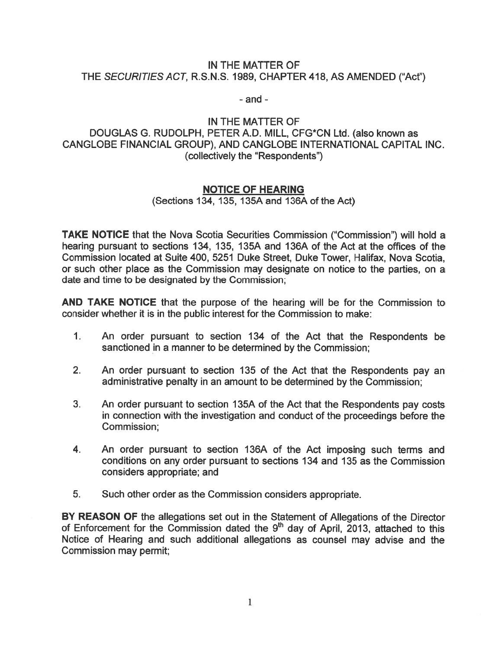## IN THE MATTER OF THE SECURITIES ACT, R.S.N.S. 1989, CHAPTER 418, AS AMENDED ("Act")

- and -

## IN THE MATTER OF DOUGLAS G. RUDOLPH, PETER A.D. MILL, CFG\*CN Ltd. (also known as CANGLOBE FINANCIAL GROUP), AND CANGLOBE INTERNATIONAL CAPITAL INC. (collectively the "Respondents")

## NOTICE OF HEARING

(Sections 134, 135, 1 35A and I 36A of the Act)

TAKE NOTICE that the Nova Scotia Securities Commission ("Commission") will hold <sup>a</sup> hearing pursuan<sup>t</sup> to sections 134, 135, 135A and 136A of the Act at the offices of the Commission located at Suite 400, 5251 Duke Street, Duke Tower, Halifax, Nova Scotia, or such other place as the Commission may designate on notice to the parties, on <sup>a</sup> date and time to be designated by the Commission;

AND TAKE NOTICE that the purpose of the hearing will be for the Commission to consider whether it is in the public interest for the Commission to make:

- 1. An order pursuan<sup>t</sup> to section 134 of the Act that the Respondents be sanctioned in <sup>a</sup> manner to be determined by the Commission;
- 2. An order pursuan<sup>t</sup> to section 135 of the Act that the Respondents pay an administrative penalty in an amount to be determined by the Commission;
- 3. An order pursuan<sup>t</sup> to section 1 35A of the Act that the Respondents pay costs in connection with the investigation and conduct of the proceedings before the Commission;
- 4. An order pursuan<sup>t</sup> to section 136A of the Act imposing such terms and conditions on any order pursuan<sup>t</sup> to sections 134 and 135 as the Commission considers appropriate; and
- 5. Such other order as the Commission considers appropriate.

BY REASON OF the allegations set out in the Statement of Allegations of the Director of Enforcement for the Commission dated the  $9<sup>th</sup>$  day of April, 2013, attached to this Notice of Hearing and such additional allegations as counsel may advise and the Commission may permit;